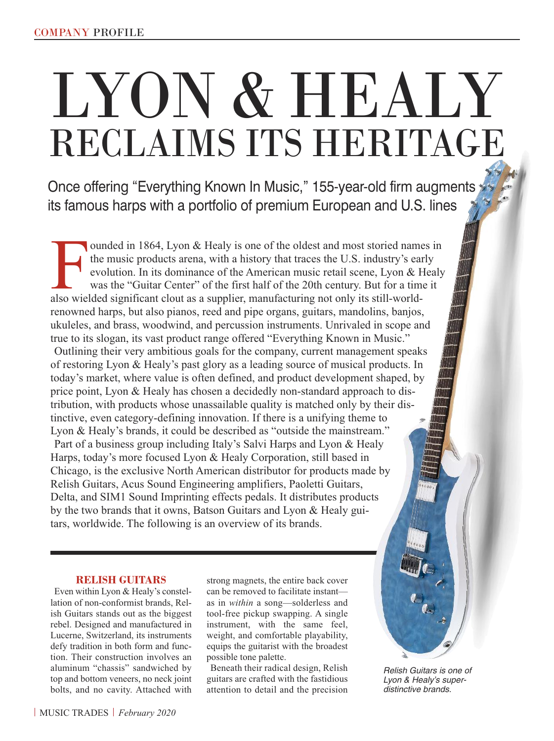# LYON & HEALY RECLAIMS ITS HERITAGE

Once offering "Everything Known In Music," 155-year-old firm augments its famous harps with a portfolio of premium European and U.S. lines

I also wielded in 1864, Lyon & Healy is one of the oldest and most storied name the music products arena, with a history that traces the U.S. industry's ear evolution. In its dominance of the American music retail scene, L ounded in 1864, Lyon & Healy is one of the oldest and most storied names in the music products arena, with a history that traces the U.S. industry's early evolution. In its dominance of the American music retail scene, Lyon & Healy was the "Guitar Center" of the first half of the 20th century. But for a time it renowned harps, but also pianos, reed and pipe organs, guitars, mandolins, banjos, ukuleles, and brass, woodwind, and percussion instruments. Unrivaled in scope and true to its slogan, its vast product range offered "Everything Known in Music." Outlining their very ambitious goals for the company, current management speaks of restoring Lyon & Healy's past glory as a leading source of musical products. In today's market, where value is often defined, and product development shaped, by price point, Lyon & Healy has chosen a decidedly non-standard approach to distribution, with products whose unassailable quality is matched only by their distinctive, even category-defining innovation. If there is a unifying theme to Lyon & Healy's brands, it could be described as "outside the mainstream." Part of a business group including Italy's Salvi Harps and Lyon & Healy Harps, today's more focused Lyon & Healy Corporation, still based in Chicago, is the exclusive North American distributor for products made by Relish Guitars, Acus Sound Engineering amplifiers, Paoletti Guitars, Delta, and SIM1 Sound Imprinting effects pedals. It distributes products by the two brands that it owns, Batson Guitars and Lyon & Healy guitars, worldwide. The following is an overview of its brands.

#### **RELISH GUITARS**

Even within Lyon & Healy's constellation of non-conformist brands, Relish Guitars stands out as the biggest rebel. Designed and manufactured in Lucerne, Switzerland, its instruments defy tradition in both form and function. Their construction involves an aluminum "chassis" sandwiched by top and bottom veneers, no neck joint bolts, and no cavity. Attached with strong magnets, the entire back cover can be removed to facilitate instant as in *within* a song—solderless and tool-free pickup swapping. A single instrument, with the same feel, weight, and comfortable playability, equips the guitarist with the broadest possible tone palette.

Beneath their radical design, Relish guitars are crafted with the fastidious attention to detail and the precision

*Relish Guitars is one of Lyon & Healy's superdistinctive brands.*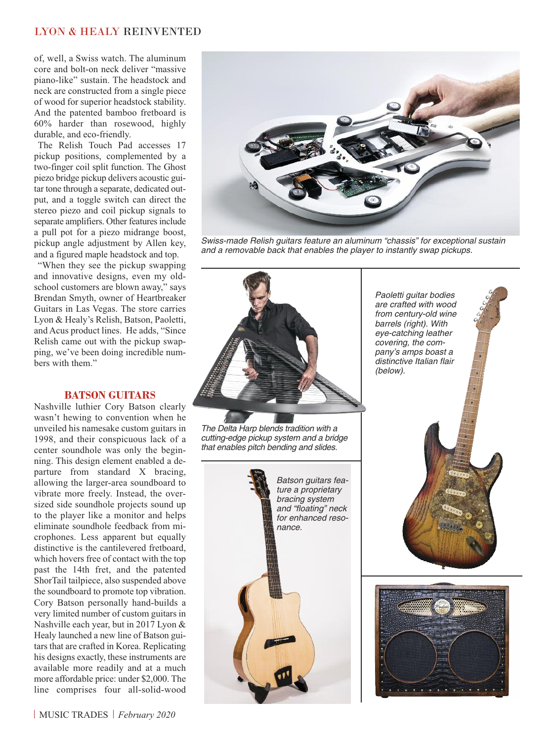### LYON & HEALY REINVENTED

of, well, a Swiss watch. The aluminum core and bolt-on neck deliver "massive piano-like" sustain. The headstock and neck are constructed from a single piece of wood for superior headstock stability. And the patented bamboo fretboard is 60% harder than rosewood, highly durable, and eco-friendly.

The Relish Touch Pad accesses 17 pickup positions, complemented by a two-finger coil split function. The Ghost piezo bridge pickup delivers acoustic guitar tone through a separate, dedicated output, and a toggle switch can direct the stereo piezo and coil pickup signals to separate amplifiers. Other features include a pull pot for a piezo midrange boost, pickup angle adjustment by Allen key, and a figured maple headstock and top.

"When they see the pickup swapping and innovative designs, even my oldschool customers are blown away," says Brendan Smyth, owner of Heartbreaker Guitars in Las Vegas. The store carries Lyon & Healy's Relish, Batson, Paoletti, and Acus product lines. He adds, "Since Relish came out with the pickup swapping, we've been doing incredible numbers with them."

#### **BATSON GUITARS**

Nashville luthier Cory Batson clearly wasn't hewing to convention when he unveiled his namesake custom guitars in 1998, and their conspicuous lack of a center soundhole was only the beginning. This design element enabled a departure from standard X bracing, allowing the larger-area soundboard to vibrate more freely. Instead, the oversized side soundhole projects sound up to the player like a monitor and helps eliminate soundhole feedback from microphones. Less apparent but equally distinctive is the cantilevered fretboard, which hovers free of contact with the top past the 14th fret, and the patented ShorTail tailpiece, also suspended above the soundboard to promote top vibration. Cory Batson personally hand-builds a very limited number of custom guitars in Nashville each year, but in 2017 Lyon & Healy launched a new line of Batson guitars that are crafted in Korea. Replicating his designs exactly, these instruments are available more readily and at a much more affordable price: under \$2,000. The line comprises four all-solid-wood



*Swiss-made Relish guitars feature an aluminum "chassis" for exceptional sustain and a removable back that enables the player to instantly swap pickups.*



*The Delta Harp blends tradition with a cutting-edge pickup system and a bridge that enables pitch bending and slides.*



*Paoletti guitar bodies are crafted with wood from century-old wine barrels (right). With eye-catching leather covering, the company's amps boast a distinctive Italian flair (below).*



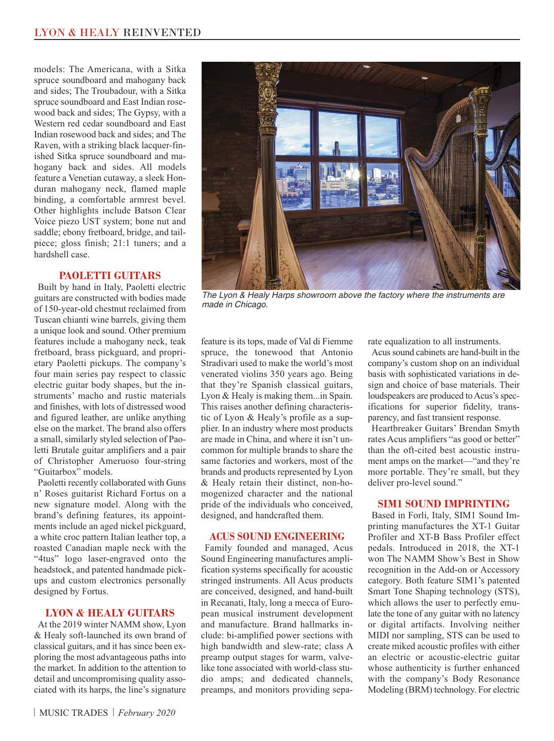models: The Americana, with a Sitka spruce soundboard and mahogany back and sides; The Troubadour, with a Sitka spruce soundboard and East Indian rosewood back and sides; The Gypsy, with a Western red cedar soundboard and East Indian rosewood back and sides; and The Raven, with a striking black lacquer-finished Sitka spruce soundboard and mahogany back and sides. All models feature a Venetian cutaway, a sleek Honduran mahogany neck, flamed maple binding, a comfortable armrest bevel. Other highlights include Batson Clear Voice piezo UST system; bone nut and saddle; ebony fretboard, bridge, and tailpiece; gloss finish; 21:1 tuners; and a hardshell case.

#### **PAOLETTI GUITARS**

Built by hand in Italy, Paoletti electric guitars are constructed with bodies made of 150-year-old chestnut reclaimed from Tuscan chianti wine barrels, giving them a unique look and sound. Other premium features include a mahogany neck, teak fretboard, brass pickguard, and proprietary Paoletti pickups. The company's four main series pay respect to classic electric guitar body shapes, but the instruments' macho and rustic materials and finishes, with lots of distressed wood and figured leather, are unlike anything else on the market. The brand also offers a small, similarly styled selection of Paoletti Brutale guitar amplifiers and a pair of Christopher Ameruoso four-string "Guitarbox" models.

Paoletti recently collaborated with Guns n' Roses guitarist Richard Fortus on a new signature model. Along with the brand's defining features, its appointments include an aged nickel pickguard, a white croc pattern Italian leather top, a roasted Canadian maple neck with the "4tus" logo laser-engraved onto the headstock, and patented handmade pickups and custom electronics personally designed by Fortus.

#### **LYON & HEALY GUITARS**

At the 2019 winter NAMM show, Lyon & Healy soft-launched its own brand of classical guitars, and it has since been exploring the most advantageous paths into the market. In addition to the attention to detail and uncompromising quality associated with its harps, the line's signature

*The Lyon & Healy Harps showroom above the factory where the instruments are made in Chicago.*

feature is its tops, made of Val di Fiemme spruce, the tonewood that Antonio Stradivari used to make the world's most venerated violins 350 years ago. Being that they're Spanish classical guitars, Lyon & Healy is making them...in Spain. This raises another defining characteristic of Lyon & Healy's profile as a supplier. In an industry where most products are made in China, and where it isn't uncommon for multiple brands to share the same factories and workers, most of the brands and products represented by Lyon & Healy retain their distinct, non-homogenized character and the national pride of the individuals who conceived, designed, and handcrafted them.

#### **ACUS SOUND ENGINEERING**

Family founded and managed, Acus Sound Engineering manufactures amplification systems specifically for acoustic stringed instruments. All Acus products are conceived, designed, and hand-built in Recanati, Italy, long a mecca of European musical instrument development and manufacture. Brand hallmarks include: bi-amplified power sections with high bandwidth and slew-rate; class A preamp output stages for warm, valvelike tone associated with world-class studio amps; and dedicated channels, preamps, and monitors providing separate equalization to all instruments. Acussound cabinets are hand-built in the company's custom shop on an individual basis with sophisticated variations in design and choice of base materials. Their loudspeakers are produced to Acus's specifications for superior fidelity, transparency, and fast transient response.

Heartbreaker Guitars' Brendan Smyth rates Acus amplifiers "as good or better" than the oft-cited best acoustic instrument amps on the market—"and they're more portable. They're small, but they deliver pro-level sound."

#### **SIM1 SOUND IMPRINTING**

Based in Forli, Italy, SIM1 Sound Imprinting manufactures the XT-1 Guitar Profiler and XT-B Bass Profiler effect pedals. Introduced in 2018, the XT-1 won The NAMM Show's Best in Show recognition in the Add-on or Accessory category. Both feature SIM1's patented Smart Tone Shaping technology (STS), which allows the user to perfectly emulate the tone of any guitar with no latency or digital artifacts. Involving neither MIDI nor sampling, STS can be used to create miked acoustic profiles with either an electric or acoustic-electric guitar whose authenticity is further enhanced with the company's Body Resonance Modeling (BRM) technology. For electric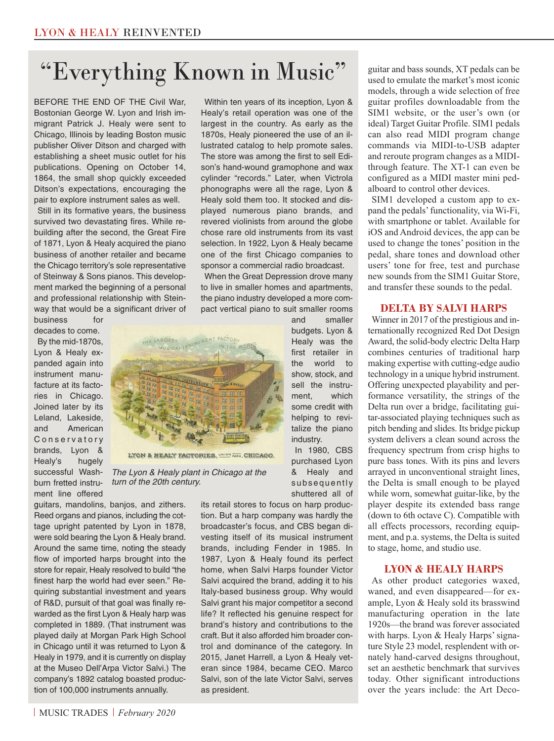## "Everything Known in Music "

BEFORE THE END OF THE Civil War, Bostonian George W. Lyon and Irish immigrant Patrick J. Healy were sent to Chicago, Illinois by leading Boston music publisher Oliver Ditson and charged with establishing a sheet music outlet for his publications. Opening on October 14, 1864, the small shop quickly exceeded Ditson's expectations, encouraging the pair to explore instrument sales as well.

Still in its formative years, the business survived two devastating fires. While rebuilding after the second, the Great Fire of 1871, Lyon & Healy acquired the piano business of another retailer and became the Chicago territory's sole representative of Steinway & Sons pianos. This development marked the beginning of a personal and professional relationship with Steinway that would be a significant driver of

business for decades to come.

By the mid-1870s, Lyon & Healy expanded again into instrument manufacture at its factories in Chicago. Joined later by its Leland, Lakeside, and American C o n s e r v a t o r y brands, Lyon & Healy's hugely successful Washburn fretted instrument line offered



*The Lyon & Healy plant in Chicago at the turn of the 20th century.*

guitars, mandolins, banjos, and zithers. Reed organs and pianos, including the cottage upright patented by Lyon in 1878, were sold bearing the Lyon & Healy brand. Around the same time, noting the steady flow of imported harps brought into the store for repair, Healy resolved to build "the finest harp the world had ever seen." Requiring substantial investment and years of R&D, pursuit of that goal was finally rewarded as the first Lyon & Healy harp was completed in 1889. (That instrument was played daily at Morgan Park High School in Chicago until it was returned to Lyon & Healy in 1979, and it is currently on display at the Museo Dell'Arpa Victor Salvi.) The company's 1892 catalog boasted production of 100,000 instruments annually.

Within ten years of its inception, Lyon & Healy's retail operation was one of the largest in the country. As early as the 1870s, Healy pioneered the use of an illustrated catalog to help promote sales. The store was among the first to sell Edison's hand-wound gramophone and wax cylinder "records." Later, when Victrola phonographs were all the rage, Lyon & Healy sold them too. It stocked and displayed numerous piano brands, and revered violinists from around the globe chose rare old instruments from its vast selection. In 1922, Lyon & Healy became one of the first Chicago companies to sponsor a commercial radio broadcast.

When the Great Depression drove many to live in smaller homes and apartments, the piano industry developed a more compact vertical piano to suit smaller rooms

> and smaller budgets. Lyon & Healy was the first retailer in the world to show, stock, and sell the instrument, which some credit with helping to revitalize the piano industry.

In 1980, CBS purchased Lyon & Healy and subsequently shuttered all of

its retail stores to focus on harp production. But a harp company was hardly the broadcaster's focus, and CBS began divesting itself of its musical instrument brands, including Fender in 1985. In 1987, Lyon & Healy found its perfect home, when Salvi Harps founder Victor Salvi acquired the brand, adding it to his Italy-based business group. Why would Salvi grant his major competitor a second life? It reflected his genuine respect for brand's history and contributions to the craft. But it also afforded him broader control and dominance of the category. In 2015, Janet Harrell, a Lyon & Healy veteran since 1984, became CEO. Marco Salvi, son of the late Victor Salvi, serves as president.

guitar and bass sounds, XT pedals can be used to emulate the market's most iconic models, through a wide selection of free guitar profiles downloadable from the SIM1 website, or the user's own (or ideal) Target Guitar Profile. SIM1 pedals can also read MIDI program change commands via MIDI-to-USB adapter and reroute program changes as a MIDIthrough feature. The XT-1 can even be configured as a MIDI master mini pedalboard to control other devices.

SIM1 developed a custom app to expand the pedals'functionality, via Wi-Fi, with smartphone or tablet. Available for iOS and Android devices, the app can be used to change the tones' position in the pedal, share tones and download other users' tone for free, test and purchase new sounds from the SIM1 Guitar Store, and transfer these sounds to the pedal.

#### **DELTA BY SALVI HARPS**

Winner in 2017 of the prestigious and internationally recognized Red Dot Design Award, the solid-body electric Delta Harp combines centuries of traditional harp making expertise with cutting-edge audio technology in a unique hybrid instrument. Offering unexpected playability and performance versatility, the strings of the Delta run over a bridge, facilitating guitar-associated playing techniques such as pitch bending and slides. Its bridge pickup system delivers a clean sound across the frequency spectrum from crisp highs to pure bass tones. With its pins and levers arrayed in unconventional straight lines, the Delta is small enough to be played while worn, somewhat guitar-like, by the player despite its extended bass range (down to 6th octave C). Compatible with all effects processors, recording equipment, and p.a. systems, the Delta is suited to stage, home, and studio use.

#### **LYON & HEALY HARPS**

As other product categories waxed, waned, and even disappeared—for example, Lyon & Healy sold its brasswind manufacturing operation in the late 1920s—the brand was forever associated with harps. Lyon & Healy Harps' signature Style 23 model, resplendent with ornately hand-carved designs throughout, set an aesthetic benchmark that survives today. Other significant introductions over the years include: the Art Deco